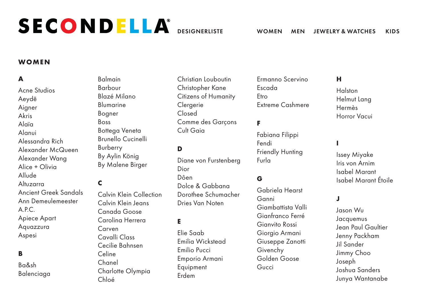# **WOMEN**

# **A**

Acne Studios Aeydē Aigner Akris Alaïa Alanui Alessandra Rich Alexander McQueen Alexander Wang  $\Delta$ lice + Olivia Allude Altuzarra Ancient Greek Sandals Ann Demeulemeester A.P.C. Apiece Apart Aquazzura Aspesi

# **B**

Ba&sh Balenciaga Balmain Barbour Blazé Milano Blumarine Bogner Boss Bottega Veneta Brunello Cucinelli Burberry By Aylin König By Malene Birger

# **C**

Calvin Klein Collection Calvin Klein Jeans Canada Goose Carolina Herrera Carven Cavalli Class Cecilie Bahnsen Celine Chanel Charlotte Olympia Chloé

Christian Louboutin Christopher Kane Citizens of Humanity **Clergerie** Closed Comme des Garçons Cult Gaia

# **D**

Diane von Furstenberg Dior Dôen Dolce & Gabbana Dorothee Schumacher Dries Van Noten

## **E**

Elie Saab Emilia Wickstead Emilio Pucci Emporio Armani **Equipment** Erdem

Ermanno Scervino Escada Etro Extreme Cashmere

## **F**

Fabiana Filippi Fendi Friendly Hunting Furla

## **G**

Gabriela Hearst Ganni Giambattista Valli Gianfranco Ferré Gianvito Rossi Giorgio Armani Giuseppe Zanotti Givenchy Golden Goose Gucci

#### **H**

Halston Helmut Lang Hermès Horror Vacui

#### **I**

Issey Miyake Iris von Arnim Isabel Marant Isabel Marant Étoile

#### **J**

Jason Wu Jacquemus Jean Paul Gaultier Jenny Packham Jil Sander Jimmy Choo Joseph Joshua Sanders Junya Wantanabe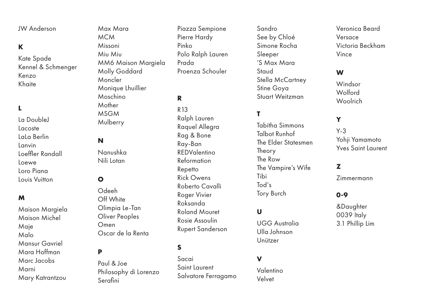JW Anderson

# **K**

Kate Spade Kennel & Schmenger Kenzo Khaite

# **L**

La DoubleJ Lacoste LaLa Berlin Lanvin Loeffler Randall Loewe Loro Piana Louis Vuitton

#### **M**

Maison Margiela Maison Michel Maje Malo Mansur Gavriel Mara Hoffman Marc Jacobs Marni Mary Katrantzou

Max Mara MCM Missoni Miu Miu MM6 Maison Margiela Molly Goddard Moncler Monique Lhuillier Moschino Mother MSGM **Mulberry** 

## **N**

Nanushka Nili Lotan

# **O**

Odeeh Off White Olimpia Le-Tan Oliver Peoples Omen Oscar de la Renta

#### **P**

Paul & Joe Philosophy di Lorenzo Serafini

Piazza Sempione Pierre Hardy Pinko Polo Ralph Lauren Prada Proenza Schouler

# **R**

R13 Ralph Lauren Raquel Allegra Rag & Bone Ray-Ban REDValentino Reformation Repetto Rick Owens Roberto Cavalli Roger Vivier Roksanda Roland Mouret Rosie Assoulin Rupert Sanderson

## **S**

Sacai Saint Laurent Salvatore Ferragamo Sandro See by Chloé Simone Rocha Sleeper 'S Max Mara **Staud** Stella McCartney Stine Goya Stuart Weitzman

# **T**

Tabitha Simmons Talbot Runhof The Elder Statesmen Theory The Row The Vampire's Wife Tibi Tod's Tory Burch

# **U**

UGG Australia Ulla Johnson Unützer

#### **V**

Valentino Velvet

Veronica Beard Versace Victoria Beckham Vince

## **W**

Windsor Wolford Woolrich

# **Y**

Y-3 Yohii Yamamoto Yves Saint Laurent

#### **Z**

Zimmermann

#### **0-9**

&Daughter 0039 Italy 3.1 Phillip Lim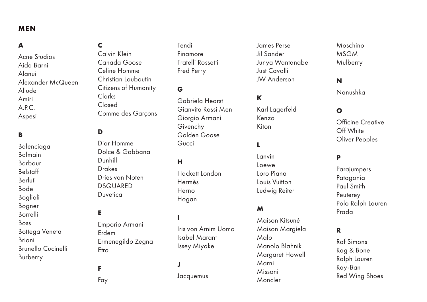## <span id="page-2-0"></span>**MEN**

# **A**

Acne Studios Aida Barni Alanui Alexander McQueen Allude Amiri A.P.C. Aspesi

# **B**

Balenciaga Balmain Barbour Belstaff Berluti Bode Boglioli Bogner Borrelli Boss Bottega Veneta Brioni Brunello Cucinelli Burberry

# **C**

Calvin Klein Canada Goose Celine Homme Christian Louboutin Citizens of Humanity Clarks Closed Comme des Garçons

# **D**

Dior Homme Dolce & Gabbana Dunhill Drakes Dries van Noten DSQUARED **Duvetica** 

# **E**

Emporio Armani Erdem Ermenegildo Zegna Etro

# **F**

Fay

Fendi Finamore Fratelli Rossetti Fred Perry

# **G**

Gabriela Hearst Gianvito Rossi Men Giorgio Armani Givenchy Golden Goose Gucci

#### **H**

Hackett London Hermès Herno Hogan

**I**

Iris von Arnim Uomo Isabel Marant Issey Miyake

# **J**

Jacquemus

James Perse Jil Sander Junya Wantanabe Just Cavalli JW Anderson

# **K**

Karl Lagerfeld Kenzo Kiton

## **L**

Lanvin Loewe Loro Piana Louis Vuitton Ludwig Reiter

# **M**

Maison Kitsuné Maison Margiela Malo Manolo Blahnik Margaret Howell Marni Missoni Moncler

Moschino MSGM Mulberry

# **N**

Nanushka

#### **O**

Officine Creative Off White Oliver Peoples

# **P**

Parajumpers Patagonia Paul Smith **Peuterey** Polo Ralph Lauren Prada

#### **R**

Raf Simons Rag & Bone Ralph Lauren Ray-Ban Red Wing Shoes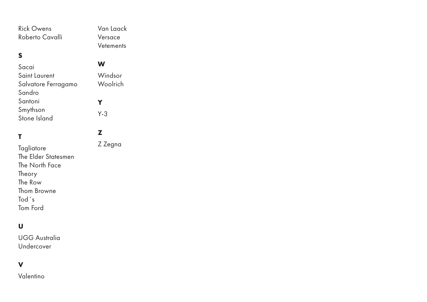Rick Owens Roberto Cavalli

# **S**

# Sacai Saint Laurent Salvatore Ferragamo Sandro Santoni Smythson Stone Island

# **T**

Tagliatore The Elder Statesmen The North Face Theory The Row Thom Browne Tod´s Tom Ford

# **U**

UGG Australia Undercover

# **V**

Valentino

Van Laack Versace **Vetements** 

#### **W**

Windsor Woolrich **Y** Y-3

**Z**

Z Zegna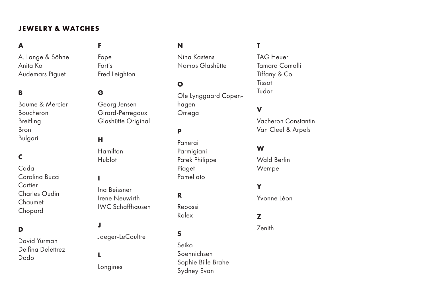# <span id="page-4-0"></span>**JEWELRY & WATCHES**

# **A**

A. Lange & Söhne Anita Ko Audemars Piguet

# **B**

Baume & Mercier Boucheron **Breitling** Bron Bulgari

# **C**

Cada Carolina Bucci Cartier Charles Oudin Chaumet Chopard

#### **D**

David Yurman Delfina Delettrez Dodo

# **F**

Fope Fortis Fred Leighton

## **G**

Georg Jensen Girard-Perregaux Glashütte Original

#### **H**

**Hamilton** Hublot

#### **I**

Ina Beissner Irene Neuwirth IWC Schaffhausen

# **J**

Jaeger-LeCoultre

# **L** Longines

Nina Kastens Nomos Glashütte

## **O**

**N**

Ole Lynggaard Copenhagen Omega

# **P**

Panerai Parmigiani Patek Philippe Piaget Pomellato

#### **R**

Repossi Rolex

# **S**

Seiko Soennichsen Sophie Bille Brahe Sydney Evan

# **T**

TAG Heuer Tamara Comolli Tiffany & Co Tissot Tudor

# **V**

Vacheron Constantin Van Cleef & Arpels

#### **W**

Wald Berlin Wempe

## **Y**

Yvonne Léon

### **Z**

Zenith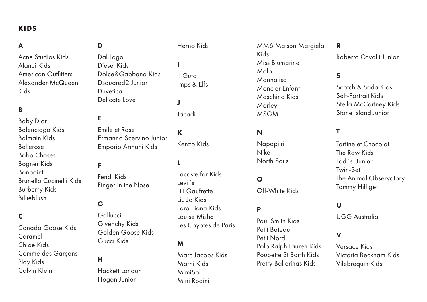# <span id="page-5-0"></span>**KIDS**

# A

Acne Studios Kids Alanui Kids American Outfitters Alexander McQueen Kids

# B

Baby Dior Balenciaga Kids Balmain Kids Bellerose Bobo Choses Bogner Kids Bonpoint Brunello Cucinelli Kids Burberry Kids Billieblush

# C

Canada Goose Kids Caramel Chloé Kids Comme des Garçons Play Kids Calvin Klein

# D

Dal Lago Diesel Kids Dolce&Gabbana Kids Dsquared2 Junior Duvetica Delicate Love

## E

Emile et Rose Ermanno Scervino Junior Emporio Armani Kids

#### F

Fendi Kids Finger in the Nose

#### G

Gallucci Givenchy Kids Golden Goose Kids Gucci Kids

#### H

Hackett London Hogan Junior

# Herno Kids

I Il Gufo Imps & Elfs

J

Jacadi

K Kenzo Kids

#### L

Lacoste for Kids Levi´s Lili Gaufrette Liu Jo Kids Loro Piana Kids Louise Misha Les Coyotes de Paris

## M

Marc Jacobs Kids Marni Kids MimiSol Mini Rodini

MM6 Maison Margiela Kids Miss Blumarine Molo Monnalisa Moncler Enfant Moschino Kids Morley MSGM

# N

Napapijri Nike North Sails

#### O

Off-White Kids

### P

Paul Smith Kids Petit Bateau Petit Nord Polo Ralph Lauren Kids Poupette St Barth Kids Pretty Ballerinas Kids

R

Roberto Cavalli Junior

# S

Scotch & Soda Kids Self-Portrait Kids Stella McCartney Kids Stone Island Junior

# T

Tartine et Chocolat The Row Kids Tod´s Junior Twin-Set The Animal Observatory Tommy Hilfiger

## U

UGG Australia

# V

Versace Kids Victoria Beckham Kids Vilebrequin Kids